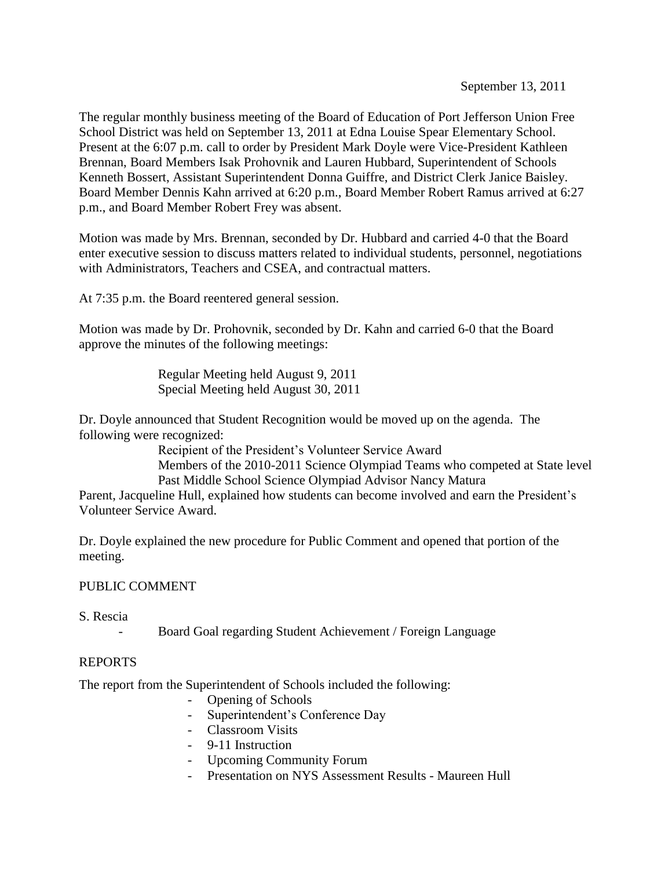The regular monthly business meeting of the Board of Education of Port Jefferson Union Free School District was held on September 13, 2011 at Edna Louise Spear Elementary School. Present at the 6:07 p.m. call to order by President Mark Doyle were Vice-President Kathleen Brennan, Board Members Isak Prohovnik and Lauren Hubbard, Superintendent of Schools Kenneth Bossert, Assistant Superintendent Donna Guiffre, and District Clerk Janice Baisley. Board Member Dennis Kahn arrived at 6:20 p.m., Board Member Robert Ramus arrived at 6:27 p.m., and Board Member Robert Frey was absent.

Motion was made by Mrs. Brennan, seconded by Dr. Hubbard and carried 4-0 that the Board enter executive session to discuss matters related to individual students, personnel, negotiations with Administrators, Teachers and CSEA, and contractual matters.

At 7:35 p.m. the Board reentered general session.

Motion was made by Dr. Prohovnik, seconded by Dr. Kahn and carried 6-0 that the Board approve the minutes of the following meetings:

> Regular Meeting held August 9, 2011 Special Meeting held August 30, 2011

Dr. Doyle announced that Student Recognition would be moved up on the agenda. The following were recognized:

Recipient of the President's Volunteer Service Award

Members of the 2010-2011 Science Olympiad Teams who competed at State level Past Middle School Science Olympiad Advisor Nancy Matura

Parent, Jacqueline Hull, explained how students can become involved and earn the President's Volunteer Service Award.

Dr. Doyle explained the new procedure for Public Comment and opened that portion of the meeting.

# PUBLIC COMMENT

S. Rescia

Board Goal regarding Student Achievement / Foreign Language

# REPORTS

The report from the Superintendent of Schools included the following:

- Opening of Schools
- Superintendent's Conference Day
- Classroom Visits
- 9-11 Instruction
- Upcoming Community Forum
- Presentation on NYS Assessment Results Maureen Hull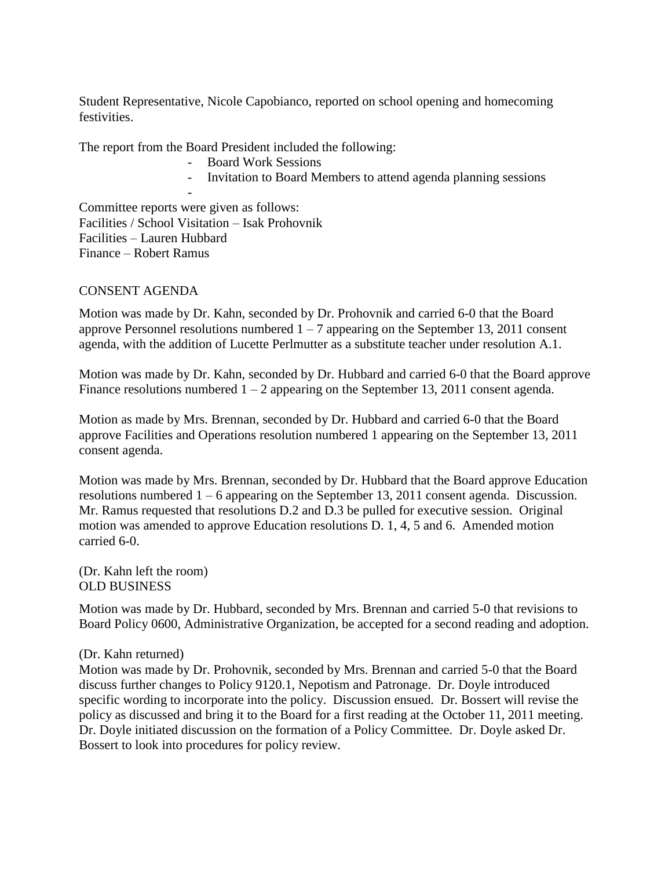Student Representative, Nicole Capobianco, reported on school opening and homecoming festivities.

The report from the Board President included the following:

- Board Work Sessions
- Invitation to Board Members to attend agenda planning sessions

- Committee reports were given as follows: Facilities / School Visitation – Isak Prohovnik Facilities – Lauren Hubbard Finance – Robert Ramus

#### CONSENT AGENDA

Motion was made by Dr. Kahn, seconded by Dr. Prohovnik and carried 6-0 that the Board approve Personnel resolutions numbered  $1 - 7$  appearing on the September 13, 2011 consent agenda, with the addition of Lucette Perlmutter as a substitute teacher under resolution A.1.

Motion was made by Dr. Kahn, seconded by Dr. Hubbard and carried 6-0 that the Board approve Finance resolutions numbered  $1 - 2$  appearing on the September 13, 2011 consent agenda.

Motion as made by Mrs. Brennan, seconded by Dr. Hubbard and carried 6-0 that the Board approve Facilities and Operations resolution numbered 1 appearing on the September 13, 2011 consent agenda.

Motion was made by Mrs. Brennan, seconded by Dr. Hubbard that the Board approve Education resolutions numbered 1 – 6 appearing on the September 13, 2011 consent agenda. Discussion. Mr. Ramus requested that resolutions D.2 and D.3 be pulled for executive session. Original motion was amended to approve Education resolutions D. 1, 4, 5 and 6. Amended motion carried 6-0.

(Dr. Kahn left the room) OLD BUSINESS

Motion was made by Dr. Hubbard, seconded by Mrs. Brennan and carried 5-0 that revisions to Board Policy 0600, Administrative Organization, be accepted for a second reading and adoption.

#### (Dr. Kahn returned)

Motion was made by Dr. Prohovnik, seconded by Mrs. Brennan and carried 5-0 that the Board discuss further changes to Policy 9120.1, Nepotism and Patronage. Dr. Doyle introduced specific wording to incorporate into the policy. Discussion ensued. Dr. Bossert will revise the policy as discussed and bring it to the Board for a first reading at the October 11, 2011 meeting. Dr. Doyle initiated discussion on the formation of a Policy Committee. Dr. Doyle asked Dr. Bossert to look into procedures for policy review.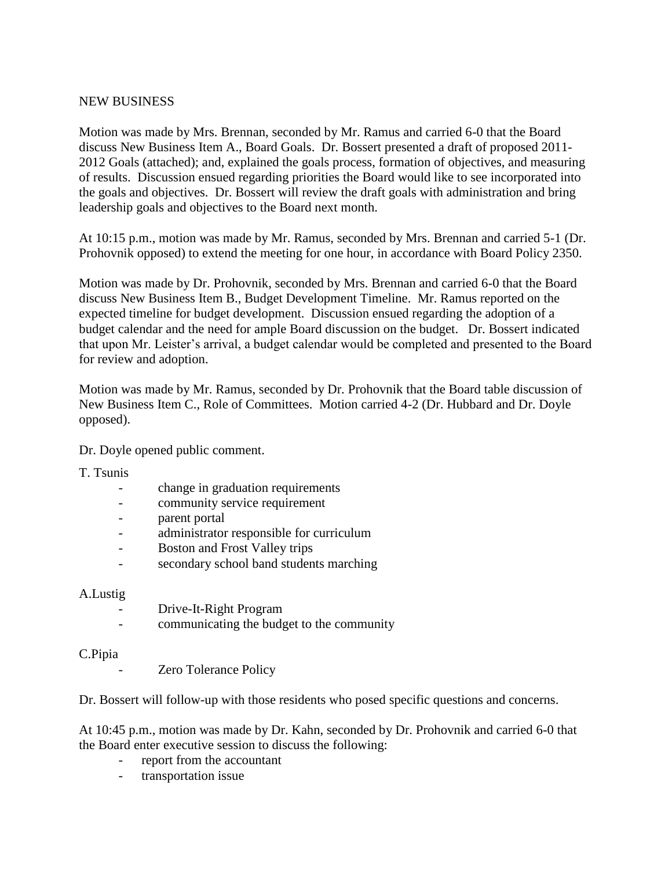#### NEW BUSINESS

Motion was made by Mrs. Brennan, seconded by Mr. Ramus and carried 6-0 that the Board discuss New Business Item A., Board Goals. Dr. Bossert presented a draft of proposed 2011- 2012 Goals (attached); and, explained the goals process, formation of objectives, and measuring of results. Discussion ensued regarding priorities the Board would like to see incorporated into the goals and objectives. Dr. Bossert will review the draft goals with administration and bring leadership goals and objectives to the Board next month.

At 10:15 p.m., motion was made by Mr. Ramus, seconded by Mrs. Brennan and carried 5-1 (Dr. Prohovnik opposed) to extend the meeting for one hour, in accordance with Board Policy 2350.

Motion was made by Dr. Prohovnik, seconded by Mrs. Brennan and carried 6-0 that the Board discuss New Business Item B., Budget Development Timeline. Mr. Ramus reported on the expected timeline for budget development. Discussion ensued regarding the adoption of a budget calendar and the need for ample Board discussion on the budget. Dr. Bossert indicated that upon Mr. Leister's arrival, a budget calendar would be completed and presented to the Board for review and adoption.

Motion was made by Mr. Ramus, seconded by Dr. Prohovnik that the Board table discussion of New Business Item C., Role of Committees. Motion carried 4-2 (Dr. Hubbard and Dr. Doyle opposed).

Dr. Doyle opened public comment.

T. Tsunis

- change in graduation requirements
- community service requirement
- parent portal
- administrator responsible for curriculum
- Boston and Frost Valley trips
- secondary school band students marching

#### A.Lustig

- Drive-It-Right Program
- communicating the budget to the community

#### C.Pipia

Zero Tolerance Policy

Dr. Bossert will follow-up with those residents who posed specific questions and concerns.

At 10:45 p.m., motion was made by Dr. Kahn, seconded by Dr. Prohovnik and carried 6-0 that the Board enter executive session to discuss the following:

- report from the accountant
- transportation issue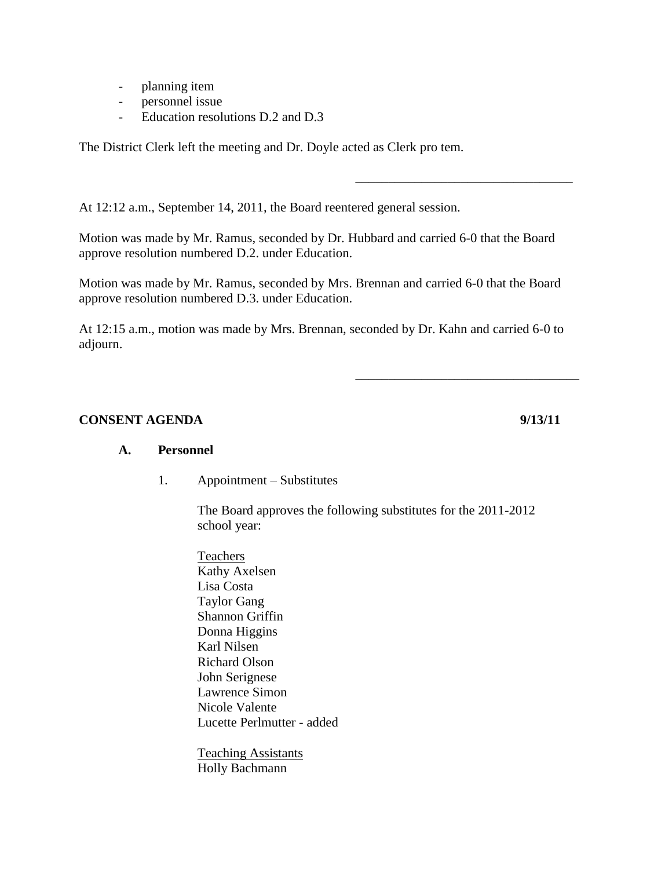- planning item
- personnel issue
- Education resolutions D.2 and D.3

The District Clerk left the meeting and Dr. Doyle acted as Clerk pro tem.

At 12:12 a.m., September 14, 2011, the Board reentered general session.

Motion was made by Mr. Ramus, seconded by Dr. Hubbard and carried 6-0 that the Board approve resolution numbered D.2. under Education.

Motion was made by Mr. Ramus, seconded by Mrs. Brennan and carried 6-0 that the Board approve resolution numbered D.3. under Education.

At 12:15 a.m., motion was made by Mrs. Brennan, seconded by Dr. Kahn and carried 6-0 to adjourn.

#### **CONSENT AGENDA** 9/13/11

\_\_\_\_\_\_\_\_\_\_\_\_\_\_\_\_\_\_\_\_\_\_\_\_\_\_\_\_\_\_\_\_\_

\_\_\_\_\_\_\_\_\_\_\_\_\_\_\_\_\_\_\_\_\_\_\_\_\_\_\_\_\_\_\_\_\_\_

#### **A. Personnel**

1. Appointment – Substitutes

The Board approves the following substitutes for the 2011-2012 school year:

Teachers Kathy Axelsen Lisa Costa Taylor Gang Shannon Griffin Donna Higgins Karl Nilsen Richard Olson John Serignese Lawrence Simon Nicole Valente Lucette Perlmutter - added

Teaching Assistants Holly Bachmann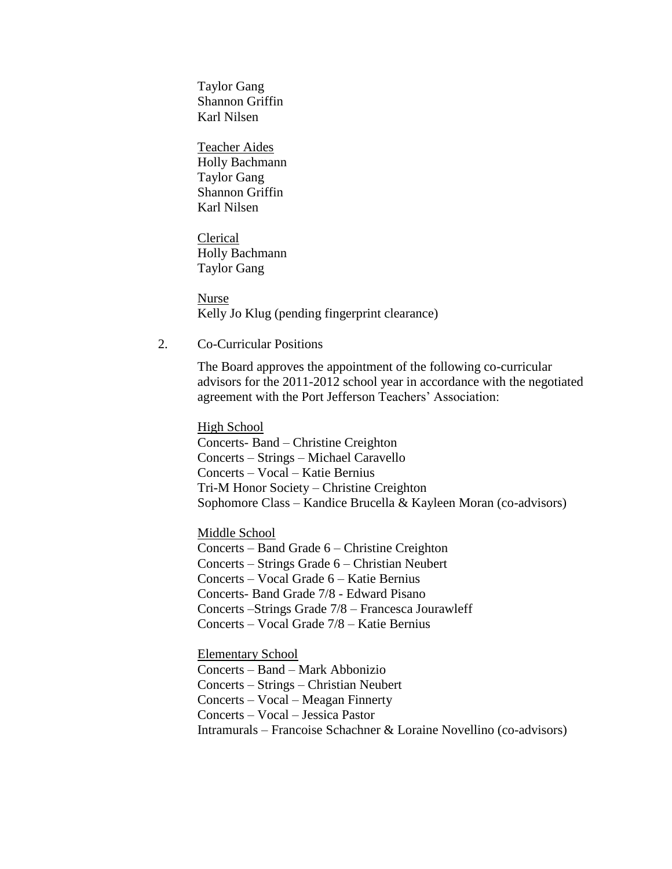Taylor Gang Shannon Griffin Karl Nilsen

Teacher Aides Holly Bachmann Taylor Gang Shannon Griffin Karl Nilsen

Clerical Holly Bachmann Taylor Gang

Nurse Kelly Jo Klug (pending fingerprint clearance)

2. Co-Curricular Positions

The Board approves the appointment of the following co-curricular advisors for the 2011-2012 school year in accordance with the negotiated agreement with the Port Jefferson Teachers' Association:

High School Concerts- Band – Christine Creighton Concerts – Strings – Michael Caravello Concerts – Vocal – Katie Bernius Tri-M Honor Society – Christine Creighton Sophomore Class – Kandice Brucella & Kayleen Moran (co-advisors)

Middle School Concerts – Band Grade 6 – Christine Creighton Concerts – Strings Grade 6 – Christian Neubert Concerts – Vocal Grade 6 – Katie Bernius Concerts- Band Grade 7/8 - Edward Pisano Concerts –Strings Grade 7/8 – Francesca Jourawleff Concerts – Vocal Grade 7/8 – Katie Bernius

Elementary School Concerts – Band – Mark Abbonizio Concerts – Strings – Christian Neubert Concerts – Vocal – Meagan Finnerty Concerts – Vocal – Jessica Pastor Intramurals – Francoise Schachner & Loraine Novellino (co-advisors)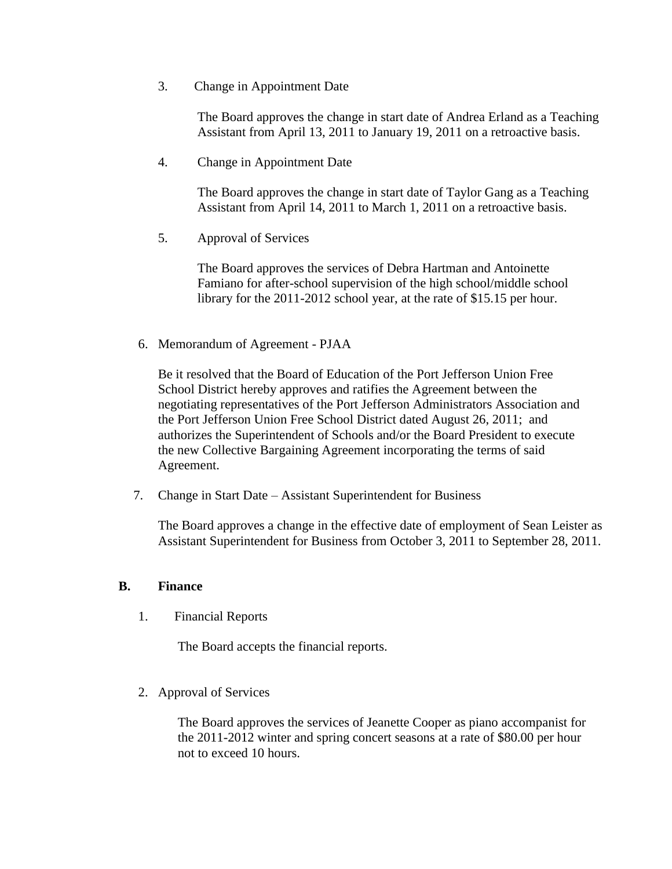3. Change in Appointment Date

The Board approves the change in start date of Andrea Erland as a Teaching Assistant from April 13, 2011 to January 19, 2011 on a retroactive basis.

4. Change in Appointment Date

The Board approves the change in start date of Taylor Gang as a Teaching Assistant from April 14, 2011 to March 1, 2011 on a retroactive basis.

5. Approval of Services

The Board approves the services of Debra Hartman and Antoinette Famiano for after-school supervision of the high school/middle school library for the 2011-2012 school year, at the rate of \$15.15 per hour.

6. Memorandum of Agreement - PJAA

Be it resolved that the Board of Education of the Port Jefferson Union Free School District hereby approves and ratifies the Agreement between the negotiating representatives of the Port Jefferson Administrators Association and the Port Jefferson Union Free School District dated August 26, 2011; and authorizes the Superintendent of Schools and/or the Board President to execute the new Collective Bargaining Agreement incorporating the terms of said Agreement.

7. Change in Start Date – Assistant Superintendent for Business

The Board approves a change in the effective date of employment of Sean Leister as Assistant Superintendent for Business from October 3, 2011 to September 28, 2011.

#### **B. Finance**

1. Financial Reports

The Board accepts the financial reports.

2. Approval of Services

The Board approves the services of Jeanette Cooper as piano accompanist for the 2011-2012 winter and spring concert seasons at a rate of \$80.00 per hour not to exceed 10 hours.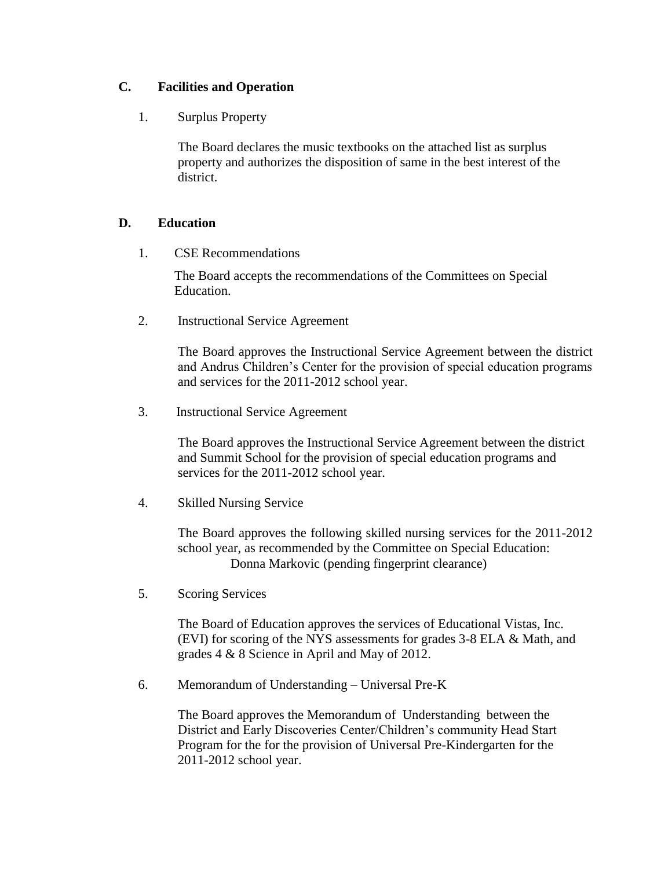### **C. Facilities and Operation**

1. Surplus Property

The Board declares the music textbooks on the attached list as surplus property and authorizes the disposition of same in the best interest of the district.

### **D. Education**

1. CSE Recommendations

The Board accepts the recommendations of the Committees on Special Education.

2. Instructional Service Agreement

The Board approves the Instructional Service Agreement between the district and Andrus Children's Center for the provision of special education programs and services for the 2011-2012 school year.

3. Instructional Service Agreement

The Board approves the Instructional Service Agreement between the district and Summit School for the provision of special education programs and services for the 2011-2012 school year.

4. Skilled Nursing Service

The Board approves the following skilled nursing services for the 2011-2012 school year, as recommended by the Committee on Special Education: Donna Markovic (pending fingerprint clearance)

5. Scoring Services

The Board of Education approves the services of Educational Vistas, Inc. (EVI) for scoring of the NYS assessments for grades 3-8 ELA & Math, and grades 4 & 8 Science in April and May of 2012.

6. Memorandum of Understanding – Universal Pre-K

The Board approves the Memorandum of Understanding between the District and Early Discoveries Center/Children's community Head Start Program for the for the provision of Universal Pre-Kindergarten for the 2011-2012 school year.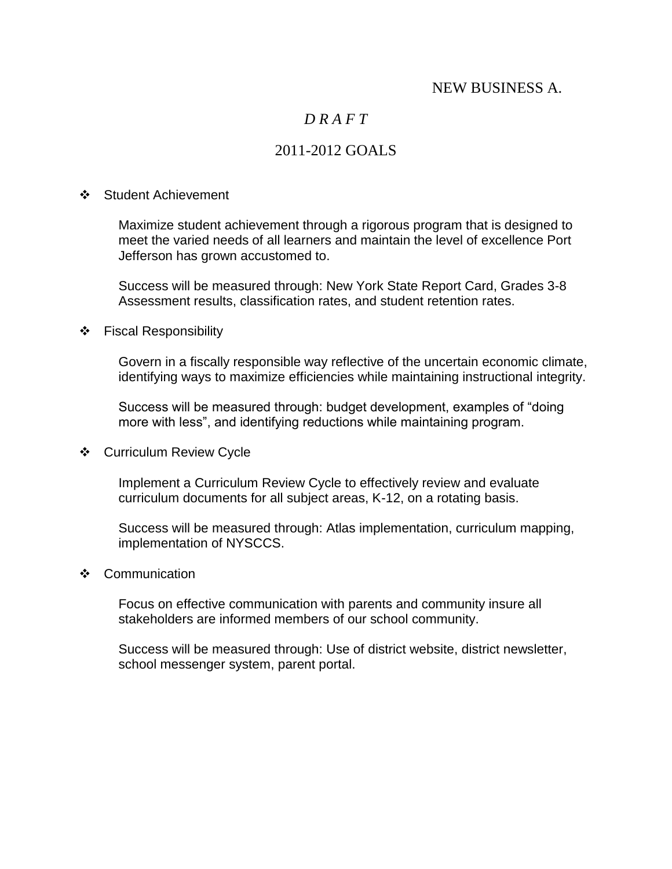# NEW BUSINESS A.

# *D R A F T*

# 2011-2012 GOALS

#### ❖ Student Achievement

Maximize student achievement through a rigorous program that is designed to meet the varied needs of all learners and maintain the level of excellence Port Jefferson has grown accustomed to.

Success will be measured through: New York State Report Card, Grades 3-8 Assessment results, classification rates, and student retention rates.

#### ❖ Fiscal Responsibility

Govern in a fiscally responsible way reflective of the uncertain economic climate, identifying ways to maximize efficiencies while maintaining instructional integrity.

Success will be measured through: budget development, examples of "doing more with less", and identifying reductions while maintaining program.

Curriculum Review Cycle

Implement a Curriculum Review Cycle to effectively review and evaluate curriculum documents for all subject areas, K-12, on a rotating basis.

Success will be measured through: Atlas implementation, curriculum mapping, implementation of NYSCCS.

#### ❖ Communication

Focus on effective communication with parents and community insure all stakeholders are informed members of our school community.

Success will be measured through: Use of district website, district newsletter, school messenger system, parent portal.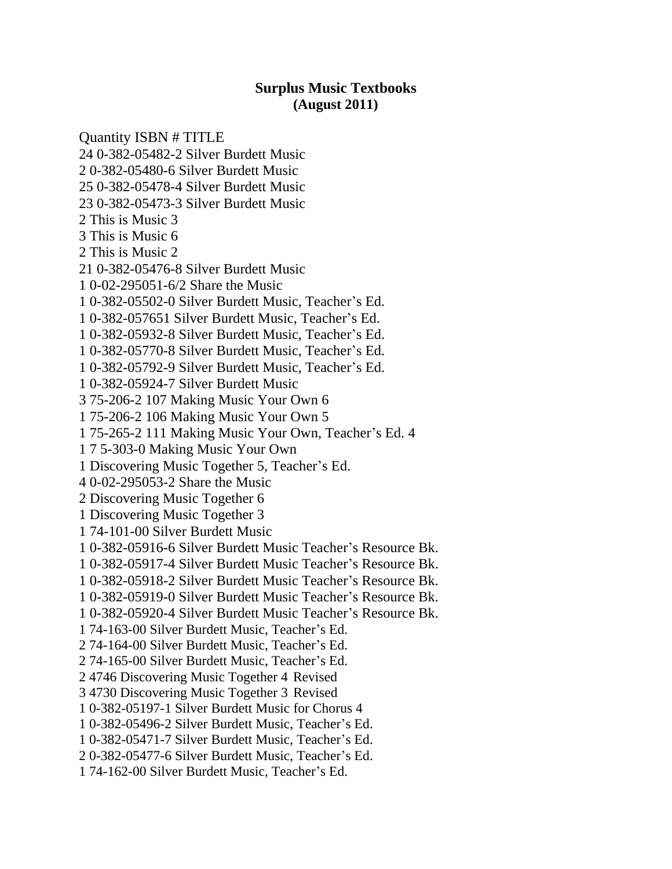# **Surplus Music Textbooks (August 2011)**

Quantity ISBN # TITLE 24 0-382-05482-2 Silver Burdett Music 2 0-382-05480-6 Silver Burdett Music 25 0-382-05478-4 Silver Burdett Music 23 0-382-05473-3 Silver Burdett Music 2 This is Music 3 3 This is Music 6 2 This is Music 2 21 0-382-05476-8 Silver Burdett Music 1 0-02-295051-6/2 Share the Music 1 0-382-05502-0 Silver Burdett Music, Teacher's Ed. 1 0-382-057651 Silver Burdett Music, Teacher's Ed. 1 0-382-05932-8 Silver Burdett Music, Teacher's Ed. 1 0-382-05770-8 Silver Burdett Music, Teacher's Ed. 1 0-382-05792-9 Silver Burdett Music, Teacher's Ed. 1 0-382-05924-7 Silver Burdett Music 3 75-206-2 107 Making Music Your Own 6 1 75-206-2 106 Making Music Your Own 5 1 75-265-2 111 Making Music Your Own, Teacher's Ed. 4 1 7 5-303-0 Making Music Your Own 1 Discovering Music Together 5, Teacher's Ed. 4 0-02-295053-2 Share the Music 2 Discovering Music Together 6 1 Discovering Music Together 3 1 74-101-00 Silver Burdett Music 1 0-382-05916-6 Silver Burdett Music Teacher's Resource Bk. 1 0-382-05917-4 Silver Burdett Music Teacher's Resource Bk. 1 0-382-05918-2 Silver Burdett Music Teacher's Resource Bk. 1 0-382-05919-0 Silver Burdett Music Teacher's Resource Bk. 1 0-382-05920-4 Silver Burdett Music Teacher's Resource Bk. 1 74-163-00 Silver Burdett Music, Teacher's Ed. 2 74-164-00 Silver Burdett Music, Teacher's Ed. 2 74-165-00 Silver Burdett Music, Teacher's Ed. 2 4746 Discovering Music Together 4 Revised 3 4730 Discovering Music Together 3 Revised 1 0-382-05197-1 Silver Burdett Music for Chorus 4 1 0-382-05496-2 Silver Burdett Music, Teacher's Ed. 1 0-382-05471-7 Silver Burdett Music, Teacher's Ed. 2 0-382-05477-6 Silver Burdett Music, Teacher's Ed. 1 74-162-00 Silver Burdett Music, Teacher's Ed.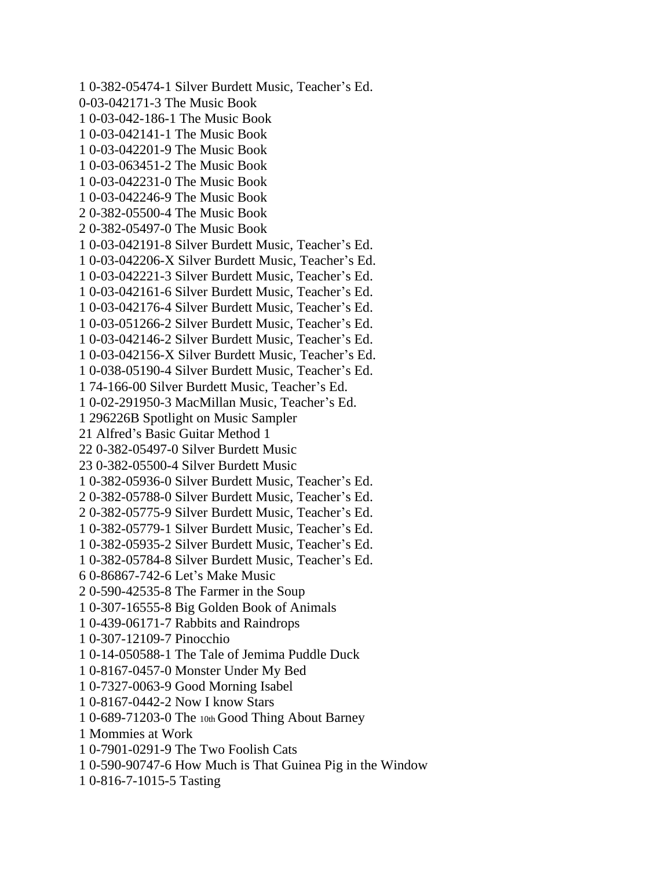1 0-382-05474-1 Silver Burdett Music, Teacher's Ed. 0-03-042171-3 The Music Book 1 0-03-042-186-1 The Music Book 1 0-03-042141-1 The Music Book 1 0-03-042201-9 The Music Book 1 0-03-063451-2 The Music Book 1 0-03-042231-0 The Music Book 1 0-03-042246-9 The Music Book 2 0-382-05500-4 The Music Book 2 0-382-05497-0 The Music Book 1 0-03-042191-8 Silver Burdett Music, Teacher's Ed. 1 0-03-042206-X Silver Burdett Music, Teacher's Ed. 1 0-03-042221-3 Silver Burdett Music, Teacher's Ed. 1 0-03-042161-6 Silver Burdett Music, Teacher's Ed. 1 0-03-042176-4 Silver Burdett Music, Teacher's Ed. 1 0-03-051266-2 Silver Burdett Music, Teacher's Ed. 1 0-03-042146-2 Silver Burdett Music, Teacher's Ed. 1 0-03-042156-X Silver Burdett Music, Teacher's Ed. 1 0-038-05190-4 Silver Burdett Music, Teacher's Ed. 1 74-166-00 Silver Burdett Music, Teacher's Ed. 1 0-02-291950-3 MacMillan Music, Teacher's Ed. 1 296226B Spotlight on Music Sampler 21 Alfred's Basic Guitar Method 1 22 0-382-05497-0 Silver Burdett Music 23 0-382-05500-4 Silver Burdett Music 1 0-382-05936-0 Silver Burdett Music, Teacher's Ed. 2 0-382-05788-0 Silver Burdett Music, Teacher's Ed. 2 0-382-05775-9 Silver Burdett Music, Teacher's Ed. 1 0-382-05779-1 Silver Burdett Music, Teacher's Ed. 1 0-382-05935-2 Silver Burdett Music, Teacher's Ed. 1 0-382-05784-8 Silver Burdett Music, Teacher's Ed. 6 0-86867-742-6 Let's Make Music 2 0-590-42535-8 The Farmer in the Soup 1 0-307-16555-8 Big Golden Book of Animals 1 0-439-06171-7 Rabbits and Raindrops 1 0-307-12109-7 Pinocchio 1 0-14-050588-1 The Tale of Jemima Puddle Duck 1 0-8167-0457-0 Monster Under My Bed 1 0-7327-0063-9 Good Morning Isabel 1 0-8167-0442-2 Now I know Stars 1 0-689-71203-0 The 10th Good Thing About Barney 1 Mommies at Work 1 0-7901-0291-9 The Two Foolish Cats 1 0-590-90747-6 How Much is That Guinea Pig in the Window 1 0-816-7-1015-5 Tasting